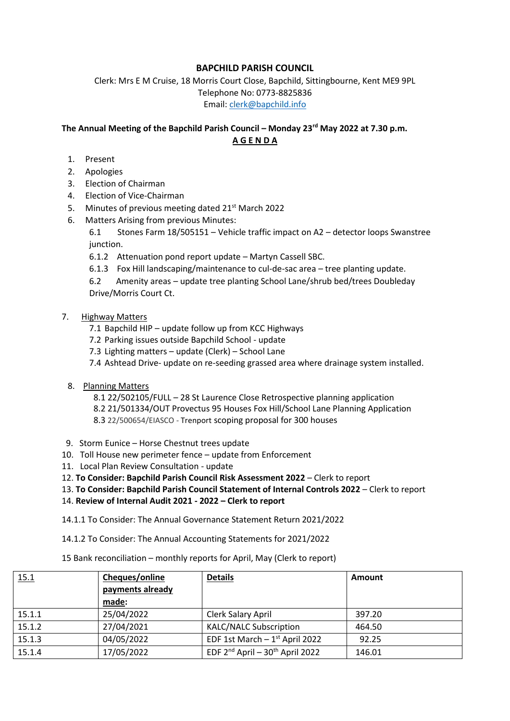## **BAPCHILD PARISH COUNCIL**

Clerk: Mrs E M Cruise, 18 Morris Court Close, Bapchild, Sittingbourne, Kent ME9 9PL Telephone No: 0773-8825836 Email: [clerk@bapchild.info](mailto:clerk@bapchild.info)

# **The Annual Meeting of the Bapchild Parish Council – Monday 23rd May 2022 at 7.30 p.m. A G E N D A**

- 1. Present
- 2. Apologies
- 3. Election of Chairman
- 4. Election of Vice-Chairman
- 5. Minutes of previous meeting dated 21<sup>st</sup> March 2022
- 6. Matters Arising from previous Minutes:

6.1 Stones Farm 18/505151 – Vehicle traffic impact on A2 – detector loops Swanstree junction.

- 6.1.2 Attenuation pond report update Martyn Cassell SBC.
- 6.1.3 Fox Hill landscaping/maintenance to cul-de-sac area tree planting update.

6.2 Amenity areas – update tree planting School Lane/shrub bed/trees Doubleday Drive/Morris Court Ct.

#### 7. Highway Matters

- 7.1 Bapchild HIP update follow up from KCC Highways
- 7.2 Parking issues outside Bapchild School update
- 7.3 Lighting matters update (Clerk) School Lane
- 7.4 Ashtead Drive- update on re-seeding grassed area where drainage system installed.
- 8. Planning Matters

 8.1 22/502105/FULL – 28 St Laurence Close Retrospective planning application 8.2 21/501334/OUT Provectus 95 Houses Fox Hill/School Lane Planning Application 8.3 22/500654/EIASCO - Trenport scoping proposal for 300 houses

- 9. Storm Eunice Horse Chestnut trees update
- 10. Toll House new perimeter fence update from Enforcement
- 11. Local Plan Review Consultation update
- 12. **To Consider: Bapchild Parish Council Risk Assessment 2022** Clerk to report
- 13. **To Consider: Bapchild Parish Council Statement of Internal Controls 2022** Clerk to report
- 14. **Review of Internal Audit 2021 - 2022 – Clerk to report**
- 14.1.1 To Consider: The Annual Governance Statement Return 2021/2022
- 14.1.2 To Consider: The Annual Accounting Statements for 2021/2022
- 15 Bank reconciliation monthly reports for April, May (Clerk to report)

| <u>15.1</u> | Cheques/online   | <b>Details</b>                              | Amount |
|-------------|------------------|---------------------------------------------|--------|
|             | payments already |                                             |        |
|             | made:            |                                             |        |
| 15.1.1      | 25/04/2022       | Clerk Salary April                          | 397.20 |
| 15.1.2      | 27/04/2021       | <b>KALC/NALC Subscription</b>               | 464.50 |
| 15.1.3      | 04/05/2022       | EDF 1st March $-1$ <sup>st</sup> April 2022 | 92.25  |
| 15.1.4      | 17/05/2022       | EDF $2^{nd}$ April - $30^{th}$ April 2022   | 146.01 |